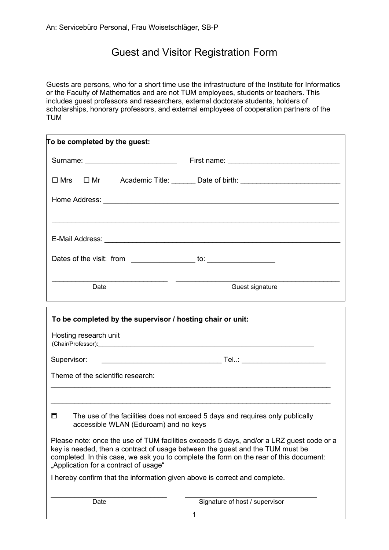## Guest and Visitor Registration Form

Guests are persons, who for a short time use the infrastructure of the Institute for Informatics or the Faculty of Mathematics and are not TUM employees, students or teachers. This includes guest professors and researchers, external doctorate students, holders of scholarships, honorary professors, and external employees of cooperation partners of the TUM

| To be completed by the guest:                                                       |                                                                                                                                                                                                                                                                     |
|-------------------------------------------------------------------------------------|---------------------------------------------------------------------------------------------------------------------------------------------------------------------------------------------------------------------------------------------------------------------|
| Surname: _________________________                                                  |                                                                                                                                                                                                                                                                     |
|                                                                                     | □ Mrs □ Mr Academic Title: ______ Date of birth: ______________________________                                                                                                                                                                                     |
|                                                                                     |                                                                                                                                                                                                                                                                     |
|                                                                                     |                                                                                                                                                                                                                                                                     |
|                                                                                     |                                                                                                                                                                                                                                                                     |
|                                                                                     |                                                                                                                                                                                                                                                                     |
| Date                                                                                | Guest signature<br>,我们也不能在这里的时候,我们也不能在这里的时候,我们也不能会在这里的时候,我们也不能会在这里的时候,我们也不能会在这里的时候,我们也不能会在这里的时候,我们也不                                                                                                                                                                |
| To be completed by the supervisor / hosting chair or unit:<br>Hosting research unit |                                                                                                                                                                                                                                                                     |
| Supervisor:                                                                         |                                                                                                                                                                                                                                                                     |
| Theme of the scientific research:                                                   |                                                                                                                                                                                                                                                                     |
|                                                                                     | ,我们也不能在这里的时候,我们也不能在这里的时候,我们也不能会在这里的时候,我们也不能会在这里的时候,我们也不能会在这里的时候,我们也不能会在这里的时候,我们也不                                                                                                                                                                                   |
| П<br>accessible WLAN (Eduroam) and no keys                                          | The use of the facilities does not exceed 5 days and requires only publically                                                                                                                                                                                       |
| "Application for a contract of usage"                                               | Please note: once the use of TUM facilities exceeds 5 days, and/or a LRZ guest code or a<br>key is needed, then a contract of usage between the guest and the TUM must be<br>completed. In this case, we ask you to complete the form on the rear of this document: |
| I hereby confirm that the information given above is correct and complete.          |                                                                                                                                                                                                                                                                     |
| Date                                                                                | Signature of host / supervisor                                                                                                                                                                                                                                      |